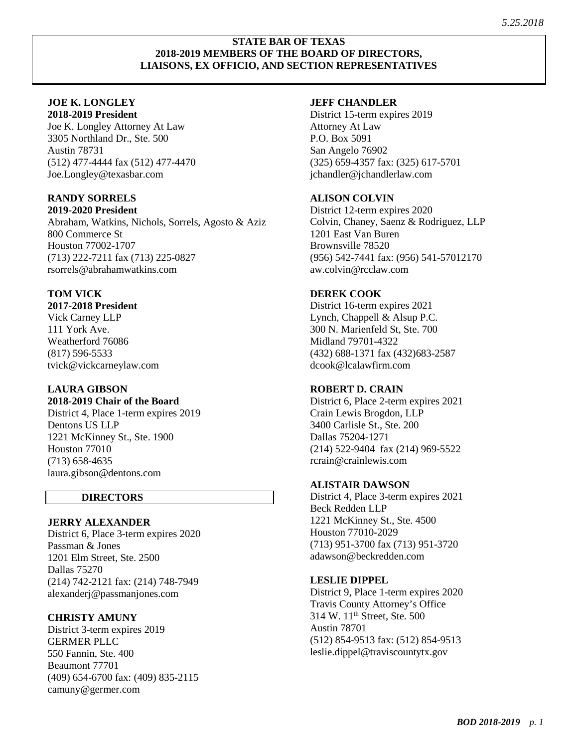#### **STATE BAR OF TEXAS 2018-2019 MEMBERS OF THE BOARD OF DIRECTORS, LIAISONS, EX OFFICIO, AND SECTION REPRESENTATIVES**

#### **JOE K. LONGLEY 2018-2019 President**

Joe K. Longley Attorney At Law 3305 Northland Dr., Ste. 500 Austin 78731 (512) 477-4444 fax (512) 477-4470 Joe.Longley@texasbar.com

# **RANDY SORRELS**

**2019-2020 President** Abraham, Watkins, Nichols, Sorrels, Agosto & Aziz 800 Commerce St Houston 77002-1707 (713) 222-7211 fax (713) 225-0827 rsorrels@abrahamwatkins.com

# **TOM VICK**

**2017-2018 President** 

Vick Carney LLP 111 York Ave. Weatherford 76086 (817) 596-5533 tvick@vickcarneylaw.com

# **LAURA GIBSON**

**2018-2019 Chair of the Board** District 4, Place 1-term expires 2019

Dentons US LLP 1221 McKinney St., Ste. 1900 Houston 77010 (713) 658-4635 laura.gibson@dentons.com

# **DIRECTORS**

# **JERRY ALEXANDER**

District 6, Place 3-term expires 2020 Passman & Jones 1201 Elm Street, Ste. 2500 Dallas 75270 (214) 742-2121 fax: (214) 748-7949 alexanderj@passmanjones.com

# **CHRISTY AMUNY**

District 3-term expires 2019 GERMER PLLC 550 Fannin, Ste. 400 Beaumont 77701 (409) 654-6700 fax: (409) 835-2115 camuny@germer.com

#### **JEFF CHANDLER**

District 15-term expires 2019 Attorney At Law P.O. Box 5091 San Angelo 76902 (325) 659-4357 fax: (325) 617-5701 [jchandler@jchandlerlaw.com](mailto:jchandler@jchandlerlaw.com)

# **ALISON COLVIN**

District 12-term expires 2020 Colvin, Chaney, Saenz & Rodriguez, LLP 1201 East Van Buren Brownsville 78520 (956) 542-7441 fax: (956) 541-57012170 aw.colvin@rcclaw.com

# **DEREK COOK**

District 16-term expires 2021 Lynch, Chappell & Alsup P.C. 300 N. Marienfeld St, Ste. 700 Midland 79701-4322 (432) 688-1371 fax (432)683-2587 dcook@lcalawfirm.com

# **ROBERT D. CRAIN**

District 6, Place 2-term expires 2021 Crain Lewis Brogdon, LLP 3400 Carlisle St., Ste. 200 Dallas 75204-1271 (214) 522-9404 fax (214) 969-5522 rcrain@crainlewis.com

# **ALISTAIR DAWSON**

District 4, Place 3-term expires 2021 Beck Redden LLP 1221 McKinney St., Ste. 4500 Houston 77010-2029 (713) 951-3700 fax (713) 951-3720 adawson@beckredden.com

### **LESLIE DIPPEL**

District 9, Place 1-term expires 2020 Travis County Attorney's Office 314 W. 11<sup>th</sup> Street, Ste. 500 Austin 78701 (512) 854-9513 fax: (512) 854-9513 leslie.dippel@traviscountytx.gov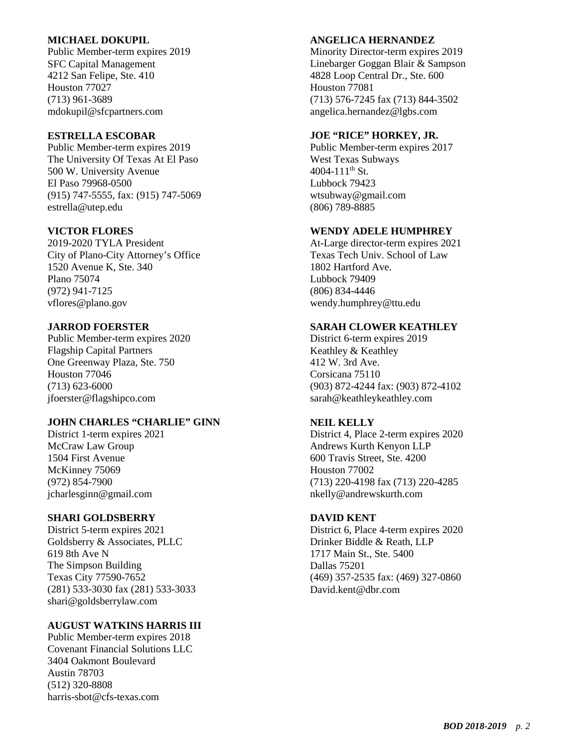#### **MICHAEL DOKUPIL**

Public Member-term expires 2019 SFC Capital Management 4212 San Felipe, Ste. 410 Houston 77027 (713) 961-3689 mdokupil@sfcpartners.com

### **ESTRELLA ESCOBAR**

Public Member-term expires 2019 The University Of Texas At El Paso 500 W. University Avenue El Paso 79968-0500 (915) 747-5555, fax: (915) 747-5069 estrella@utep.edu

### **VICTOR FLORES**

2019-2020 TYLA President City of Plano-City Attorney's Office 1520 Avenue K, Ste. 340 Plano 75074 (972) 941-7125 vflores@plano.gov

### **JARROD FOERSTER**

Public Member-term expires 2020 Flagship Capital Partners One Greenway Plaza, Ste. 750 Houston 77046 (713) 623-6000 [jfoerster@flagshipco.com](mailto:jfoerster@flagshipco.com)

### **JOHN CHARLES "CHARLIE" GINN**

District 1-term expires 2021 McCraw Law Group 1504 First Avenue McKinney 75069 (972) 854-7900 jcharlesginn@gmail.com

### **SHARI GOLDSBERRY**

District 5-term expires 2021 Goldsberry & Associates, PLLC 619 8th Ave N The Simpson Building Texas City 77590-7652 (281) 533-3030 fax (281) 533-3033 shari@goldsberrylaw.com

# **AUGUST WATKINS HARRIS III**

Public Member-term expires 2018 Covenant Financial Solutions LLC 3404 Oakmont Boulevard Austin 78703 (512) 320-8808 harris-sbot@cfs-texas.com

#### **ANGELICA HERNANDEZ**

Minority Director-term expires 2019 Linebarger Goggan Blair & Sampson 4828 Loop Central Dr., Ste. 600 Houston 77081 (713) 576-7245 fax (713) 844-3502 angelica.hernandez@lgbs.com

### **JOE "RICE" HORKEY, JR.**

Public Member-term expires 2017 West Texas Subways 4004-111th St. Lubbock 79423 wtsubway@gmail.com (806) 789-8885

### **WENDY ADELE HUMPHREY**

At-Large director-term expires 2021 Texas Tech Univ. School of Law 1802 Hartford Ave. Lubbock 79409 (806) 834-4446 wendy.humphrey@ttu.edu

# **SARAH CLOWER KEATHLEY**

District 6-term expires 2019 Keathley & Keathley 412 W. 3rd Ave. Corsicana 75110 (903) 872-4244 fax: (903) 872-4102 [sarah@keathleykeathley.com](mailto:sarah@keathleykeathley.com)

### **NEIL KELLY**

District 4, Place 2-term expires 2020 Andrews Kurth Kenyon LLP 600 Travis Street, Ste. 4200 Houston 77002 (713) 220-4198 fax (713) 220-4285 nkelly@andrewskurth.com

### **DAVID KENT**

District 6, Place 4-term expires 2020 Drinker Biddle & Reath, LLP 1717 Main St., Ste. 5400 Dallas 75201 (469) 357-2535 fax: (469) 327-0860 David.kent@dbr.com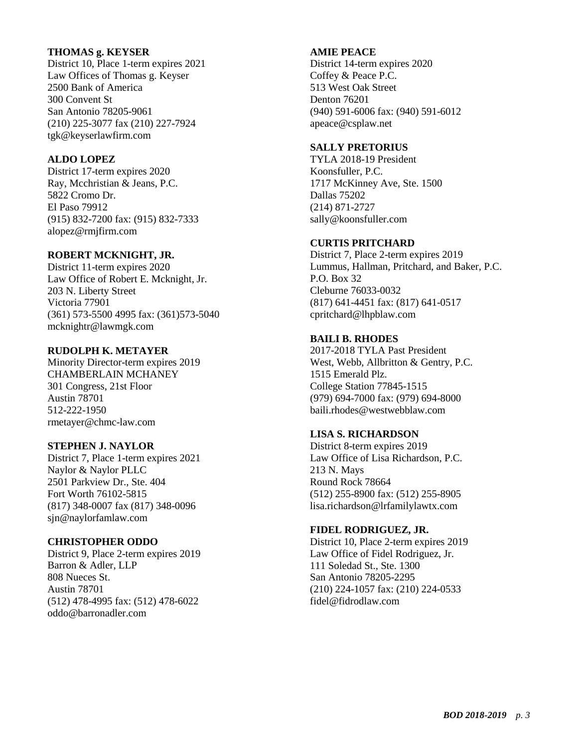### **THOMAS g. KEYSER**

District 10, Place 1-term expires 2021 Law Offices of Thomas g. Keyser 2500 Bank of America 300 Convent St San Antonio 78205-9061 (210) 225-3077 fax (210) 227-7924 tgk@keyserlawfirm.com

### **ALDO LOPEZ**

District 17-term expires 2020 Ray, Mcchristian & Jeans, P.C. 5822 Cromo Dr. El Paso 79912 (915) 832-7200 fax: (915) 832-7333 alopez@rmjfirm.com

### **ROBERT MCKNIGHT, JR.**

District 11-term expires 2020 Law Office of Robert E. Mcknight, Jr. 203 N. Liberty Street Victoria 77901 (361) 573-5500 4995 fax: (361)573-5040 mcknightr@lawmgk.com

### **RUDOLPH K. METAYER**

Minority Director-term expires 2019 CHAMBERLAIN MCHANEY 301 Congress, 21st Floor Austin 78701 512-222-1950 rmetayer@chmc-law.com

### **STEPHEN J. NAYLOR**

District 7, Place 1-term expires 2021 Naylor & Naylor PLLC 2501 Parkview Dr., Ste. 404 Fort Worth 76102-5815 (817) 348-0007 fax (817) 348-0096 sjn@naylorfamlaw.com

### **CHRISTOPHER ODDO**

District 9, Place 2-term expires 2019 Barron & Adler, LLP 808 Nueces St. Austin 78701 (512) 478-4995 fax: (512) 478-6022 oddo@barronadler.com

# **AMIE PEACE**

District 14-term expires 2020 Coffey & Peace P.C. 513 West Oak Street Denton 76201 (940) 591-6006 fax: (940) 591-6012 apeace@csplaw.net

### **SALLY PRETORIUS**

TYLA 2018-19 President Koonsfuller, P.C. 1717 McKinney Ave, Ste. 1500 Dallas 75202 (214) 871-2727 sally@koonsfuller.com

#### **CURTIS PRITCHARD**

District 7, Place 2-term expires 2019 Lummus, Hallman, Pritchard, and Baker, P.C. P.O. Box 32 Cleburne 76033-0032 (817) 641-4451 fax: (817) 641-0517 cpritchard@lhpblaw.com

### **BAILI B. RHODES**

2017-2018 TYLA Past President West, Webb, Allbritton & Gentry, P.C. 1515 Emerald Plz. College Station 77845-1515 (979) 694-7000 fax: (979) 694-8000 baili.rhodes@westwebblaw.com

# **LISA S. RICHARDSON**

District 8-term expires 2019 Law Office of Lisa Richardson, P.C. 213 N. Mays Round Rock 78664 (512) 255-8900 fax: (512) 255-8905 lisa.richardson@lrfamilylawtx.com

### **FIDEL RODRIGUEZ, JR.**

District 10, Place 2-term expires 2019 Law Office of Fidel Rodriguez, Jr. 111 Soledad St., Ste. 1300 San Antonio 78205-2295 (210) 224-1057 fax: (210) 224-0533 fidel@fidrodlaw.com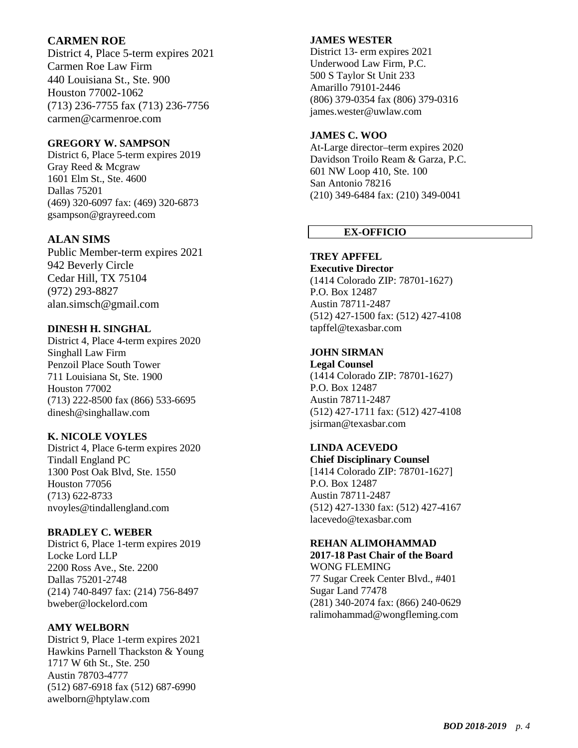# **CARMEN ROE**

District 4, Place 5 -term expires 2021 Carmen Roe Law Firm 440 Louisiana St., Ste. 900 Houston 77002 -1062 (713) 236 -7755 fax (713) 236 -7756 carmen@carmenroe.com

### **GREGORY W. SAMPSON**

District 6, Place 5 -term expires 2019 Gray Reed & Mcgraw 1601 Elm St., Ste. 4600 Dallas 75201 (469) 320 -6097 fax: (469) 320 -6873 gsampson@grayreed.com

# **ALAN SIMS**

Public Member -term expires 2021 942 Beverly Circle Cedar Hill, TX 75104 (972) 293 -8827 alan.simsch@gmail.com

### **DINESH H. SINGHAL**

District 4, Place 4 -term expires 2020 Singhall Law Firm Penzoil Place South Tower 711 Louisiana St, Ste. 1900 Houston 77002 (713) 222 -8500 fax (866) 533 -6695 dinesh@singhallaw.com

# **K. NICOLE VOYLES**

District 4, Place 6 -term expires 2020 Tindall England PC 1300 Post Oak Blvd, Ste. 1550 Houston 77056 (713) 622 -8733 nvoyles@tindallengland.com

### **BRADLEY C. WEBER**

District 6, Place 1 -term expires 2019 Locke Lord LLP 2200 Ross Ave., Ste. 2200 Dallas 75201 -2748 (214) 740 -8497 fax: (214) 756 -8497 bweber@lockelord.com

### **AMY WELBORN**

District 9, Place 1 -term expires 2021 Hawkins Parnell Thackston & Young 1717 W 6th St., Ste . 250 Austin 78703 -4777 (512) 687 -6918 fax (512) 687 -6990 awelborn@hptylaw.com

#### **JAMES WESTER**

District 13 - erm expires 2021 Underwood Law Firm, P.C. 500 S Taylor St Unit 233 Amarillo 79101 -2446 (806) 379 -0354 fax (806) 379 -0316 james.wester@uwlaw.com

### **JAMES C. WOO**

At - Large director –term expires 2020 Davidson Troilo Ream & Garza, P.C. 601 NW Loop 410, Ste. 100 San Antonio 78216 (210) 349 -6484 fax: (210) 349 -0041

# **EX -OFFICIO**

# **TREY APFFEL**

**Executive Director** (1414 Colorado ZIP: 78701 -1627) P.O. Box 12487 Austin 78711 -2487 (512) 427 -1500 fax: (512) 427 -4108 tapffel@texasbar.com

#### **JOHN SIRMAN**

**Legal Counsel** (1414 Colorado ZIP: 78701 -1627) P.O. Box 12487 Austin 78711 -2487 (512) 427 -1711 fax: (512) 427 -4108 jsirman@texasbar.com

# **LINDA ACEVEDO**

**Chief Disciplinary Counsel** [1414 Colorado ZIP: 78701-1627 ] P.O. Box 12487 Austin 78711 -2487 (512) 427 -1330 fax : (512) 427 -4167 lacevedo@texasbar.com

### **REHAN ALIMOHAMMAD**

**2017 -18 Past Chair of the Board** WONG FLEMING 77 Sugar Creek Center Blvd., #401 Sugar Land 77478 (281) 340 -2074 fax: (866) 240 -0629 ralimohammad@wongfleming.com